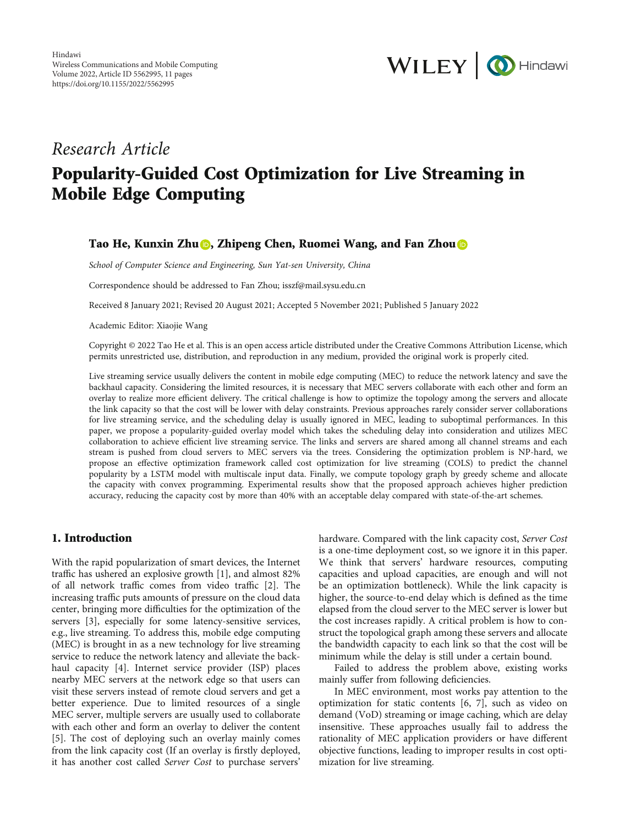

# Research Article Popularity-Guided Cost Optimization for Live Streaming in Mobile Edge Computing

## Tao He, Kunxin Zhu **D**, Zhipeng Chen, Ruomei Wang, and Fan Zhou D

School of Computer Science and Engineering, Sun Yat-sen University, China

Correspondence should be addressed to Fan Zhou; isszf@mail.sysu.edu.cn

Received 8 January 2021; Revised 20 August 2021; Accepted 5 November 2021; Published 5 January 2022

Academic Editor: Xiaojie Wang

Copyright © 2022 Tao He et al. This is an open access article distributed under the [Creative Commons Attribution License](https://creativecommons.org/licenses/by/4.0/), which permits unrestricted use, distribution, and reproduction in any medium, provided the original work is properly cited.

Live streaming service usually delivers the content in mobile edge computing (MEC) to reduce the network latency and save the backhaul capacity. Considering the limited resources, it is necessary that MEC servers collaborate with each other and form an overlay to realize more efficient delivery. The critical challenge is how to optimize the topology among the servers and allocate the link capacity so that the cost will be lower with delay constraints. Previous approaches rarely consider server collaborations for live streaming service, and the scheduling delay is usually ignored in MEC, leading to suboptimal performances. In this paper, we propose a popularity-guided overlay model which takes the scheduling delay into consideration and utilizes MEC collaboration to achieve efficient live streaming service. The links and servers are shared among all channel streams and each stream is pushed from cloud servers to MEC servers via the trees. Considering the optimization problem is NP-hard, we propose an effective optimization framework called cost optimization for live streaming (COLS) to predict the channel popularity by a LSTM model with multiscale input data. Finally, we compute topology graph by greedy scheme and allocate the capacity with convex programming. Experimental results show that the proposed approach achieves higher prediction accuracy, reducing the capacity cost by more than 40% with an acceptable delay compared with state-of-the-art schemes.

# 1. Introduction

With the rapid popularization of smart devices, the Internet traffic has ushered an explosive growth [\[1](#page-9-0)], and almost 82% of all network traffic comes from video traffic [[2](#page-9-0)]. The increasing traffic puts amounts of pressure on the cloud data center, bringing more difficulties for the optimization of the servers [\[3\]](#page-9-0), especially for some latency-sensitive services, e.g., live streaming. To address this, mobile edge computing (MEC) is brought in as a new technology for live streaming service to reduce the network latency and alleviate the backhaul capacity [[4](#page-9-0)]. Internet service provider (ISP) places nearby MEC servers at the network edge so that users can visit these servers instead of remote cloud servers and get a better experience. Due to limited resources of a single MEC server, multiple servers are usually used to collaborate with each other and form an overlay to deliver the content [\[5](#page-9-0)]. The cost of deploying such an overlay mainly comes from the link capacity cost (If an overlay is firstly deployed, it has another cost called Server Cost to purchase servers'

hardware. Compared with the link capacity cost, Server Cost is a one-time deployment cost, so we ignore it in this paper. We think that servers' hardware resources, computing capacities and upload capacities, are enough and will not be an optimization bottleneck). While the link capacity is higher, the source-to-end delay which is defined as the time elapsed from the cloud server to the MEC server is lower but the cost increases rapidly. A critical problem is how to construct the topological graph among these servers and allocate the bandwidth capacity to each link so that the cost will be minimum while the delay is still under a certain bound.

Failed to address the problem above, existing works mainly suffer from following deficiencies.

In MEC environment, most works pay attention to the optimization for static contents [[6](#page-9-0), [7](#page-9-0)], such as video on demand (VoD) streaming or image caching, which are delay insensitive. These approaches usually fail to address the rationality of MEC application providers or have different objective functions, leading to improper results in cost optimization for live streaming.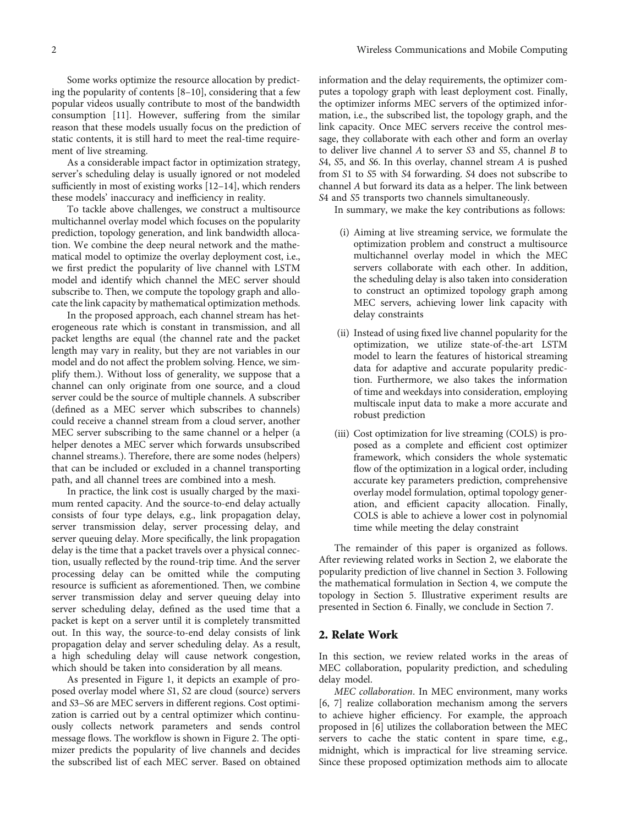Some works optimize the resource allocation by predicting the popularity of contents [[8](#page-9-0)–[10](#page-9-0)], considering that a few popular videos usually contribute to most of the bandwidth consumption [\[11\]](#page-9-0). However, suffering from the similar reason that these models usually focus on the prediction of static contents, it is still hard to meet the real-time requirement of live streaming.

As a considerable impact factor in optimization strategy, server's scheduling delay is usually ignored or not modeled sufficiently in most of existing works [\[12](#page-9-0)–[14](#page-9-0)], which renders these models' inaccuracy and inefficiency in reality.

To tackle above challenges, we construct a multisource multichannel overlay model which focuses on the popularity prediction, topology generation, and link bandwidth allocation. We combine the deep neural network and the mathematical model to optimize the overlay deployment cost, i.e., we first predict the popularity of live channel with LSTM model and identify which channel the MEC server should subscribe to. Then, we compute the topology graph and allocate the link capacity by mathematical optimization methods.

In the proposed approach, each channel stream has heterogeneous rate which is constant in transmission, and all packet lengths are equal (the channel rate and the packet length may vary in reality, but they are not variables in our model and do not affect the problem solving. Hence, we simplify them.). Without loss of generality, we suppose that a channel can only originate from one source, and a cloud server could be the source of multiple channels. A subscriber (defined as a MEC server which subscribes to channels) could receive a channel stream from a cloud server, another MEC server subscribing to the same channel or a helper (a helper denotes a MEC server which forwards unsubscribed channel streams.). Therefore, there are some nodes (helpers) that can be included or excluded in a channel transporting path, and all channel trees are combined into a mesh.

In practice, the link cost is usually charged by the maximum rented capacity. And the source-to-end delay actually consists of four type delays, e.g., link propagation delay, server transmission delay, server processing delay, and server queuing delay. More specifically, the link propagation delay is the time that a packet travels over a physical connection, usually reflected by the round-trip time. And the server processing delay can be omitted while the computing resource is sufficient as aforementioned. Then, we combine server transmission delay and server queuing delay into server scheduling delay, defined as the used time that a packet is kept on a server until it is completely transmitted out. In this way, the source-to-end delay consists of link propagation delay and server scheduling delay. As a result, a high scheduling delay will cause network congestion, which should be taken into consideration by all means.

As presented in Figure [1](#page-2-0), it depicts an example of proposed overlay model where *S*1, *S*2 are cloud (source) servers and *S*3–*S*6 are MEC servers in different regions. Cost optimization is carried out by a central optimizer which continuously collects network parameters and sends control message flows. The workflow is shown in Figure [2.](#page-2-0) The optimizer predicts the popularity of live channels and decides the subscribed list of each MEC server. Based on obtained

information and the delay requirements, the optimizer computes a topology graph with least deployment cost. Finally, the optimizer informs MEC servers of the optimized information, i.e., the subscribed list, the topology graph, and the link capacity. Once MEC servers receive the control message, they collaborate with each other and form an overlay to deliver live channel *A* to server *S*3 and *S*5, channel *B* to *S*4, *S*5, and *S*6. In this overlay, channel stream *A* is pushed from *S*1 to *S*5 with *S*4 forwarding. *S*4 does not subscribe to channel *A* but forward its data as a helper. The link between *S*4 and *S*5 transports two channels simultaneously.

In summary, we make the key contributions as follows:

- (i) Aiming at live streaming service, we formulate the optimization problem and construct a multisource multichannel overlay model in which the MEC servers collaborate with each other. In addition, the scheduling delay is also taken into consideration to construct an optimized topology graph among MEC servers, achieving lower link capacity with delay constraints
- (ii) Instead of using fixed live channel popularity for the optimization, we utilize state-of-the-art LSTM model to learn the features of historical streaming data for adaptive and accurate popularity prediction. Furthermore, we also takes the information of time and weekdays into consideration, employing multiscale input data to make a more accurate and robust prediction
- (iii) Cost optimization for live streaming (COLS) is proposed as a complete and efficient cost optimizer framework, which considers the whole systematic flow of the optimization in a logical order, including accurate key parameters prediction, comprehensive overlay model formulation, optimal topology generation, and efficient capacity allocation. Finally, COLS is able to achieve a lower cost in polynomial time while meeting the delay constraint

The remainder of this paper is organized as follows. After reviewing related works in Section 2, we elaborate the popularity prediction of live channel in Section [3](#page-3-0). Following the mathematical formulation in Section [4](#page-3-0), we compute the topology in Section [5](#page-5-0). Illustrative experiment results are presented in Section [6.](#page-6-0) Finally, we conclude in Section [7](#page-9-0).

## 2. Relate Work

In this section, we review related works in the areas of MEC collaboration, popularity prediction, and scheduling delay model.

MEC collaboration. In MEC environment, many works [\[6](#page-9-0), [7\]](#page-9-0) realize collaboration mechanism among the servers to achieve higher efficiency. For example, the approach proposed in [[6\]](#page-9-0) utilizes the collaboration between the MEC servers to cache the static content in spare time, e.g., midnight, which is impractical for live streaming service. Since these proposed optimization methods aim to allocate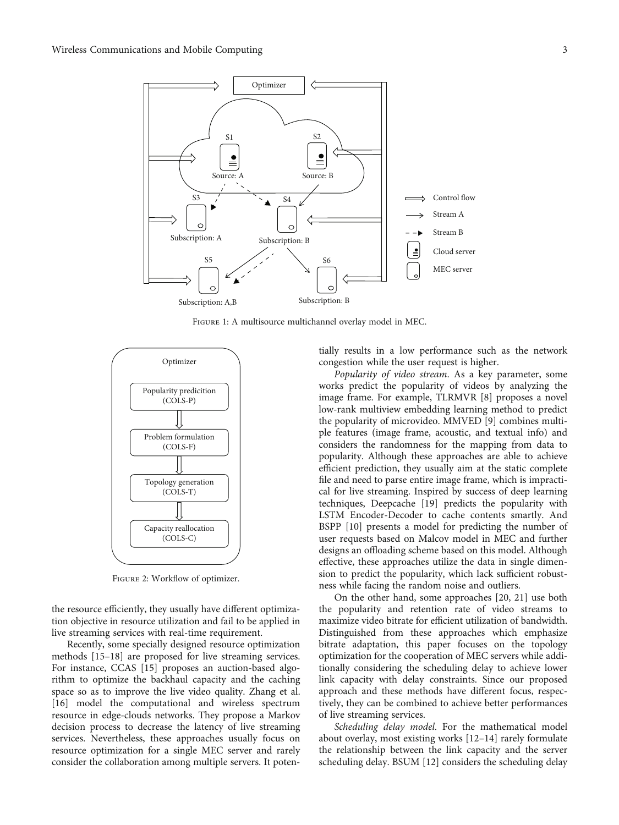<span id="page-2-0"></span>

Figure 1: A multisource multichannel overlay model in MEC.



Figure 2: Workflow of optimizer.

the resource efficiently, they usually have different optimization objective in resource utilization and fail to be applied in live streaming services with real-time requirement.

Recently, some specially designed resource optimization methods [[15](#page-9-0)–[18](#page-9-0)] are proposed for live streaming services. For instance, CCAS [[15](#page-9-0)] proposes an auction-based algorithm to optimize the backhaul capacity and the caching space so as to improve the live video quality. Zhang et al. [\[16](#page-9-0)] model the computational and wireless spectrum resource in edge-clouds networks. They propose a Markov decision process to decrease the latency of live streaming services. Nevertheless, these approaches usually focus on resource optimization for a single MEC server and rarely consider the collaboration among multiple servers. It potentially results in a low performance such as the network congestion while the user request is higher.

Popularity of video stream. As a key parameter, some works predict the popularity of videos by analyzing the image frame. For example, TLRMVR [\[8\]](#page-9-0) proposes a novel low-rank multiview embedding learning method to predict the popularity of microvideo. MMVED [\[9\]](#page-9-0) combines multiple features (image frame, acoustic, and textual info) and considers the randomness for the mapping from data to popularity. Although these approaches are able to achieve efficient prediction, they usually aim at the static complete file and need to parse entire image frame, which is impractical for live streaming. Inspired by success of deep learning techniques, Deepcache [[19](#page-9-0)] predicts the popularity with LSTM Encoder-Decoder to cache contents smartly. And BSPP [\[10\]](#page-9-0) presents a model for predicting the number of user requests based on Malcov model in MEC and further designs an offloading scheme based on this model. Although effective, these approaches utilize the data in single dimension to predict the popularity, which lack sufficient robustness while facing the random noise and outliers.

On the other hand, some approaches [\[20, 21](#page-9-0)] use both the popularity and retention rate of video streams to maximize video bitrate for efficient utilization of bandwidth. Distinguished from these approaches which emphasize bitrate adaptation, this paper focuses on the topology optimization for the cooperation of MEC servers while additionally considering the scheduling delay to achieve lower link capacity with delay constraints. Since our proposed approach and these methods have different focus, respectively, they can be combined to achieve better performances of live streaming services.

Scheduling delay model. For the mathematical model about overlay, most existing works [[12](#page-9-0)–[14](#page-9-0)] rarely formulate the relationship between the link capacity and the server scheduling delay. BSUM [[12](#page-9-0)] considers the scheduling delay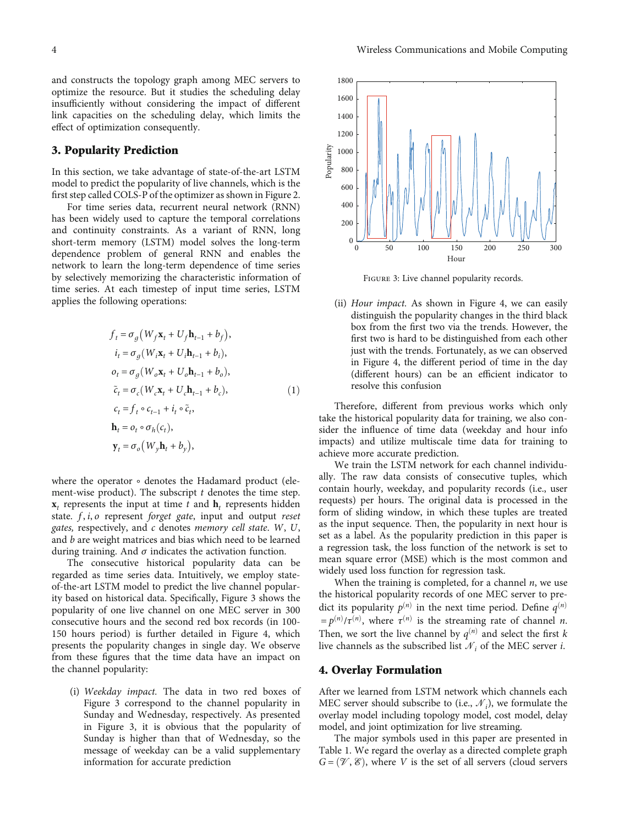<span id="page-3-0"></span>and constructs the topology graph among MEC servers to optimize the resource. But it studies the scheduling delay insufficiently without considering the impact of different link capacities on the scheduling delay, which limits the effect of optimization consequently.

#### 3. Popularity Prediction

In this section, we take advantage of state-of-the-art LSTM model to predict the popularity of live channels, which is the first step called COLS-P of the optimizer as shown in Figure [2.](#page-2-0)

For time series data, recurrent neural network (RNN) has been widely used to capture the temporal correlations and continuity constraints. As a variant of RNN, long short-term memory (LSTM) model solves the long-term dependence problem of general RNN and enables the network to learn the long-term dependence of time series by selectively memorizing the characteristic information of time series. At each timestep of input time series, LSTM applies the following operations:

$$
f_t = \sigma_g (W_f \mathbf{x}_t + U_f \mathbf{h}_{t-1} + b_f),
$$
  
\n
$$
i_t = \sigma_g (W_i \mathbf{x}_t + U_i \mathbf{h}_{t-1} + b_i),
$$
  
\n
$$
o_t = \sigma_g (W_o \mathbf{x}_t + U_o \mathbf{h}_{t-1} + b_o),
$$
  
\n
$$
\tilde{c}_t = \sigma_c (W_c \mathbf{x}_t + U_c \mathbf{h}_{t-1} + b_c),
$$
  
\n
$$
c_t = f_t \circ c_{t-1} + i_t \circ \tilde{c}_t,
$$
  
\n
$$
\mathbf{h}_t = o_t \circ \sigma_h (c_t),
$$
  
\n
$$
\mathbf{y}_t = \sigma_o (W_y \mathbf{h}_t + b_y),
$$
 (1)

where the operator ∘ denotes the Hadamard product (element-wise product). The subscript *t* denotes the time step.  $x_t$  represents the input at time  $t$  and  $h_t$  represents hidden state. *f* , *i*, *o* represent forget gate, input and output reset gates, respectively, and *c* denotes memory cell state. *W*, *U*, and *b* are weight matrices and bias which need to be learned during training. And  $\sigma$  indicates the activation function.

The consecutive historical popularity data can be regarded as time series data. Intuitively, we employ stateof-the-art LSTM model to predict the live channel popularity based on historical data. Specifically, Figure 3 shows the popularity of one live channel on one MEC server in 300 consecutive hours and the second red box records (in 100- 150 hours period) is further detailed in Figure [4,](#page-4-0) which presents the popularity changes in single day. We observe from these figures that the time data have an impact on the channel popularity:

(i) Weekday impact. The data in two red boxes of Figure 3 correspond to the channel popularity in Sunday and Wednesday, respectively. As presented in Figure 3, it is obvious that the popularity of Sunday is higher than that of Wednesday, so the message of weekday can be a valid supplementary information for accurate prediction



Figure 3: Live channel popularity records.

(ii) Hour impact. As shown in Figure [4](#page-4-0), we can easily distinguish the popularity changes in the third black box from the first two via the trends. However, the first two is hard to be distinguished from each other just with the trends. Fortunately, as we can observed in Figure [4,](#page-4-0) the different period of time in the day (different hours) can be an efficient indicator to resolve this confusion

Therefore, different from previous works which only take the historical popularity data for training, we also consider the influence of time data (weekday and hour info impacts) and utilize multiscale time data for training to achieve more accurate prediction.

We train the LSTM network for each channel individually. The raw data consists of consecutive tuples, which contain hourly, weekday, and popularity records (i.e., user requests) per hours. The original data is processed in the form of sliding window, in which these tuples are treated as the input sequence. Then, the popularity in next hour is set as a label. As the popularity prediction in this paper is a regression task, the loss function of the network is set to mean square error (MSE) which is the most common and widely used loss function for regression task.

When the training is completed, for a channel *n*, we use the historical popularity records of one MEC server to predict its popularity  $p^{(n)}$  in the next time period. Define  $q^{(n)}$  $=p^{(n)}/\tau^{(n)}$ , where  $\tau^{(n)}$  is the streaming rate of channel *n*. Then, we sort the live channel by  $q^{(n)}$  and select the first *k* live channels as the subscribed list  $\mathcal{N}_i$  of the MEC server *i*.

## 4. Overlay Formulation

After we learned from LSTM network which channels each MEC server should subscribe to (i.e.,  $\mathcal{N}_i$ ), we formulate the overlay model including topology model, cost model, delay model, and joint optimization for live streaming.

The major symbols used in this paper are presented in Table [1.](#page-4-0) We regard the overlay as a directed complete graph  $G = (\mathcal{V}, \mathcal{E})$ , where *V* is the set of all servers (cloud servers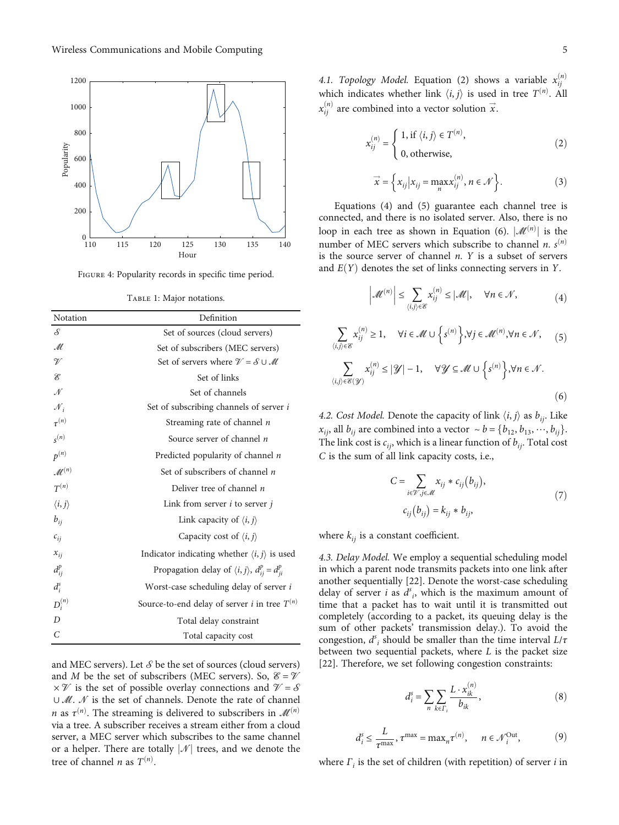<span id="page-4-0"></span>

FIGURE 4: Popularity records in specific time period.

TABLE 1: Major notations.

| Notation               | Definition                                                          |
|------------------------|---------------------------------------------------------------------|
| S                      | Set of sources (cloud servers)                                      |
| M                      | Set of subscribers (MEC servers)                                    |
| V                      | Set of servers where $\mathcal{V} = \mathcal{S} \cup \mathcal{M}$   |
| É                      | Set of links                                                        |
| N                      | Set of channels                                                     |
| $\mathcal{N}_i$        | Set of subscribing channels of server i                             |
| $\tau^{(n)}$           | Streaming rate of channel <i>n</i>                                  |
| $s^{(n)}$              | Source server of channel n                                          |
| $p^{(n)}$              | Predicted popularity of channel n                                   |
| $\mathcal{M}^{(n)}$    | Set of subscribers of channel $n$                                   |
| $T^{(n)}$              | Deliver tree of channel $n$                                         |
| $\langle i, j \rangle$ | Link from server <i>i</i> to server <i>j</i>                        |
| $b_{ii}$               | Link capacity of $\langle i, j \rangle$                             |
| $c_{ij}$               | Capacity cost of $\langle i, j \rangle$                             |
| $x_{ij}$               | Indicator indicating whether $\langle i, j \rangle$ is used         |
| $d_{ii}^{p}$           | Propagation delay of $\langle i, j \rangle$ , $d_{ij}^p = d_{ji}^p$ |
| $d_i^s$                | Worst-case scheduling delay of server i                             |
| $D_i^{(n)}$            | Source-to-end delay of server <i>i</i> in tree $T^{(n)}$            |
| $\overline{D}$         | Total delay constraint                                              |
| C                      | Total capacity cost                                                 |

and MEC servers). Let  $S$  be the set of sources (cloud servers) and *M* be the set of subscribers (MEC servers). So,  $\mathcal{E} = \mathcal{V}$  $\times \mathcal{V}$  is the set of possible overlay connections and  $\mathcal{V} = \mathcal{S}$ ∪ *M*. *N* is the set of channels. Denote the rate of channel *n* as  $\tau^{(n)}$ . The streaming is delivered to subscribers in  $\mathscr{M}^{(n)}$ via a tree. A subscriber receives a stream either from a cloud server, a MEC server which subscribes to the same channel or a helper. There are totally  $|\mathcal{N}|$  trees, and we denote the tree of channel *n* as  $T^{(n)}$ .

4.1. Topology Model. Equation (2) shows a variable  $x_{ij}^{(n)}$ which indicates whether link  $\langle i, j \rangle$  is used in tree  $T^{(n)}$ . All  $x_{ij}^{(n)}$  are combined into a vector solution  $\vec{x}$ .

$$
x_{ij}^{(n)} = \begin{cases} 1, \text{ if } \langle i, j \rangle \in T^{(n)}, \\ 0, \text{ otherwise,} \end{cases}
$$
 (2)

$$
\vec{x} = \left\{ x_{ij} \middle| x_{ij} = \max_{n} x_{ij}^{(n)}, n \in \mathcal{N} \right\}.
$$
 (3)

Equations (4) and (5) guarantee each channel tree is connected, and there is no isolated server. Also, there is no loop in each tree as shown in Equation (6).  $|\mathcal{M}^{(n)}|$  is the loop in each tree as shown in Equation (6).  $|\mathcal{M}^{(n)}|$  is the number of MEC servers which subscribe to channel *n*. *s*<sup>(*n*)</sup> is the source server of channel *n*. *Y* is a subset of servers and  $E(Y)$  denotes the set of links connecting servers in *Y*.

$$
\left|\mathcal{M}^{(n)}\right| \leq \sum_{\langle i,j\rangle \in \mathcal{E}} x_{ij}^{(n)} \leq |\mathcal{M}|, \quad \forall n \in \mathcal{N},\tag{4}
$$

$$
\sum_{\langle i,j\rangle \in \mathcal{E}} x_{ij}^{(n)} \ge 1, \quad \forall i \in \mathcal{M} \cup \left\{ s^{(n)} \right\}, \forall j \in \mathcal{M}^{(n)}, \forall n \in \mathcal{N}, \quad (5)
$$

$$
\sum_{\langle i,j\rangle \in \mathcal{E}(\mathcal{Y})} x_{ij}^{(n)} \le |\mathcal{Y}| - 1, \quad \forall \mathcal{Y} \subseteq \mathcal{M} \cup \left\{ s^{(n)} \right\}, \forall n \in \mathcal{N}.
$$
\n
$$
(6)
$$

4.2. Cost Model. Denote the capacity of link  $\langle i, j \rangle$  as  $b_{ij}$ . Like *x*<sub>*ij*</sub>, all *b*<sub>*ij*</sub> are combined into a vector  $\sim b = \{b_{12}, b_{13}, \dots, b_{ij}\}.$ The link cost is  $c_{ij}$ , which is a linear function of  $b_{ij}$ . Total cost *C* is the sum of all link capacity costs, i.e.,

$$
C = \sum_{i \in \mathcal{V}, j \in \mathcal{M}} x_{ij} * c_{ij} (b_{ij}),
$$
  
\n
$$
c_{ij} (b_{ij}) = k_{ij} * b_{ij},
$$
\n(7)

where  $k_{ij}$  is a constant coefficient.

4.3. Delay Model. We employ a sequential scheduling model in which a parent node transmits packets into one link after another sequentially [[22](#page-10-0)]. Denote the worst-case scheduling delay of server *i* as  $d^s$ <sub>i</sub>, which is the maximum amount of time that a packet has to wait until it is transmitted out completely (according to a packet, its queuing delay is the sum of other packets' transmission delay.). To avoid the congestion,  $d^s$ <sub>*i*</sub> should be smaller than the time interval  $L/\tau$ between two sequential packets, where *L* is the packet size [\[22](#page-10-0)]. Therefore, we set following congestion constraints:

$$
d_i^s = \sum_{n} \sum_{k \in \Gamma_i} \frac{L \cdot x_{ik}^{(n)}}{b_{ik}},
$$
 (8)

$$
d_i^s \le \frac{L}{\tau^{\max}}, \tau^{\max} = \max_n \tau^{(n)}, \quad n \in \mathcal{N}_i^{\text{Out}},
$$
 (9)

where *Γ<sup>i</sup>* is the set of children (with repetition) of server *i* in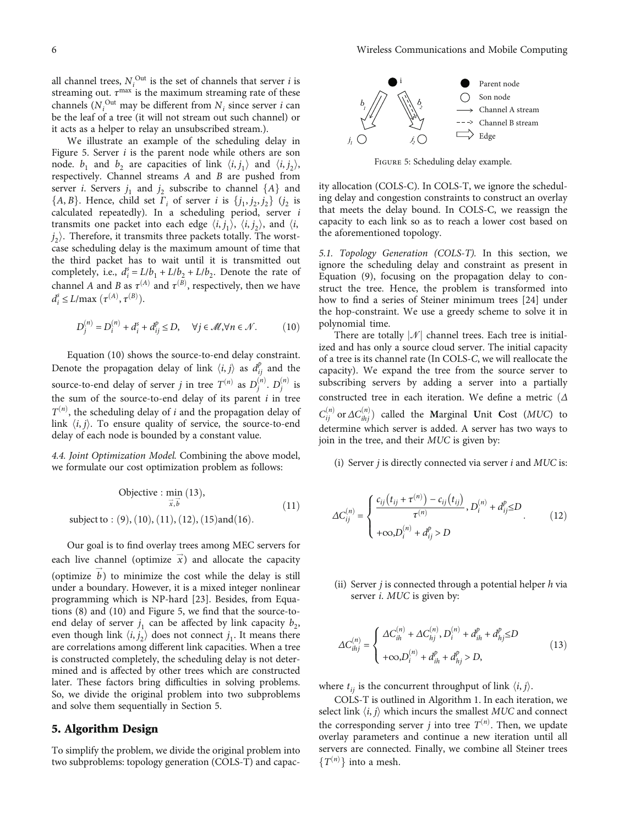<span id="page-5-0"></span>all channel trees,  $N_i^{\text{Out}}$  is the set of channels that server *i* is streaming out.  $τ^{max}$  is the maximum streaming rate of these channels  $(N_i^{\text{Out}})$  may be different from  $N_i$  since server *i* can be the leaf of a tree (it will not stream out such channel) or it acts as a helper to relay an unsubscribed stream.).

We illustrate an example of the scheduling delay in Figure 5. Server *i* is the parent node while others are son node.  $b_1$  and  $b_2$  are capacities of link  $\langle i, j_1 \rangle$  and  $\langle i, j_2 \rangle$ ,<br>respectively Channel streams A and B are pushed from respectively. Channel streams *A* and *B* are pushed from server *i*. Servers  $j_1$  and  $j_2$  subscribe to channel  $\{A\}$  and  $I_A$  and  $I_B$  and  $I_B$  and  $I_B$  and  $I_B$  and  $I_B$  and  $I_B$  and  $I_B$  and  $I_B$  and  $I_B$  and  $I_B$  and  $I_B$  and  $I_B$  and  $I_B$  and  $I_B$  and  $I_B$  and  $I_B$  and  ${A, B}$ . Hence, child set *Γ*<sub>*i*</sub> of server *i* is  ${j_1, j_2, j_2}$   $(j_2$  is calculated repeatedly). In a scheduling period server *i* calculated repeatedly). In a scheduling period, server *i* transmits one packet into each edge  $\langle i, j_1 \rangle$ ,  $\langle i, j_2 \rangle$ , and  $\langle i, j_2 \rangle$  Therefore it transmits three packets totally. The worst,  $j_2$ ). Therefore, it transmits three packets totally. The worst-<br>case scheduling delay is the maximum amount of time that case scheduling delay is the maximum amount of time that the third packet has to wait until it is transmitted out completely, i.e.,  $d_i^s = L/b_1 + L/b_2 + L/b_2$ . Denote the rate of channel *A* and *B* as  $\tau^{(A)}$  and  $\tau^{(B)}$ , respectively, then we have  $d_i^s \le L / \max(\tau^{(A)}, \tau^{(B)}).$ 

$$
D_j^{(n)} = D_i^{(n)} + d_i^s + d_{ij}^p \le D, \quad \forall j \in \mathcal{M}, \forall n \in \mathcal{N}.
$$
 (10)

Equation (10) shows the source-to-end delay constraint. Denote the propagation delay of link  $\langle i, j \rangle$  as  $d_{ij}^p$  and the source-to-end delay of server *j* in tree  $T^{(n)}$  as  $D_j^{(n)}$ .  $D_j^{(n)}$  is the sum of the source-to-end delay of its parent *i* in tree  $T^{(n)}$ , the scheduling delay of *i* and the propagation delay of link  $\langle i, j \rangle$ . To ensure quality of service, the source-to-end delay of each node is bounded by a constant value.

4.4. Joint Optimization Model. Combining the above model, we formulate our cost optimization problem as follows:

Objective: 
$$
\min_{\vec{x}, \vec{b}} (13),
$$

\nsubject to: (9), (10), (11), (12), (15) and (16).

\n(11)

Our goal is to find overlay trees among MEC servers for each live channel (optimize  $\vec{x}$ ) and allocate the capacity (optimize  $b$ ) to minimize the cost while the delay is still under a boundary. However, it is a mixed integer nonlinear programming which is NP-hard [\[23](#page-10-0)]. Besides, from Equations [\(8](#page-4-0)) and (10) and Figure 5, we find that the source-toend delay of server  $j_1$  can be affected by link capacity  $b_2$ , even though link  $\langle i, j_2 \rangle$  does not connect  $j_1$ . It means there<br>are correlations among different link canacities. When a tree are correlations among different link capacities. When a tree is constructed completely, the scheduling delay is not determined and is affected by other trees which are constructed later. These factors bring difficulties in solving problems. So, we divide the original problem into two subproblems and solve them sequentially in Section 5.

#### 5. Algorithm Design

To simplify the problem, we divide the original problem into two subproblems: topology generation (COLS-T) and capac-



Figure 5: Scheduling delay example.

ity allocation (COLS-C). In COLS-T, we ignore the scheduling delay and congestion constraints to construct an overlay that meets the delay bound. In COLS-C, we reassign the capacity to each link so as to reach a lower cost based on the aforementioned topology.

5.1. Topology Generation (COLS-T). In this section, we ignore the scheduling delay and constraint as present in Equation ([9](#page-4-0)), focusing on the propagation delay to construct the tree. Hence, the problem is transformed into how to find a series of Steiner minimum trees [\[24\]](#page-10-0) under the hop-constraint. We use a greedy scheme to solve it in polynomial time.

There are totally  $|\mathcal{N}|$  channel trees. Each tree is initialized and has only a source cloud server. The initial capacity of a tree is its channel rate (In COLS-C, we will reallocate the capacity). We expand the tree from the source server to subscribing servers by adding a server into a partially constructed tree in each iteration. We define a metric ( $Δ$  $C_{ij}^{(n)}$  or  $\Delta C_{ijij}^{(n)}$ ) called the **Marginal Unit Cost** (*MUC*) to determine which server is added. A server has two ways to join in the tree, and their MUC is given by:

(i) Server *j* is directly connected via server *i* and MUC is:

$$
\Delta C_{ij}^{(n)} = \begin{cases} \frac{c_{ij}(t_{ij} + \tau^{(n)}) - c_{ij}(t_{ij})}{\tau^{(n)}}, D_i^{(n)} + d_{ij}^p \le D \\ +\infty, D_i^{(n)} + d_{ij}^p > D \end{cases}
$$
(12)

(ii) Server *j* is connected through a potential helper *h* via server *i*. MUC is given by:

$$
\Delta C_{ihj}^{(n)} = \begin{cases} \Delta C_{ih}^{(n)} + \Delta C_{hj}^{(n)}, D_i^{(n)} + d_{ih}^p + d_{hj}^p \le D \\ +\infty, D_i^{(n)} + d_{ih}^p + d_{hj}^p > D, \end{cases}
$$
(13)

where  $t_{ij}$  is the concurrent throughput of link  $\langle i, j \rangle$ .

COLS-T is outlined in Algorithm [1](#page-6-0). In each iteration, we select link  $\langle i, j \rangle$  which incurs the smallest MUC and connect the corresponding server  $j$  into tree  $T^{(n)}$ . Then, we update overlay parameters and continue a new iteration until all servers are connected. Finally, we combine all Steiner trees  ${T^{(n)}}$  into a mesh.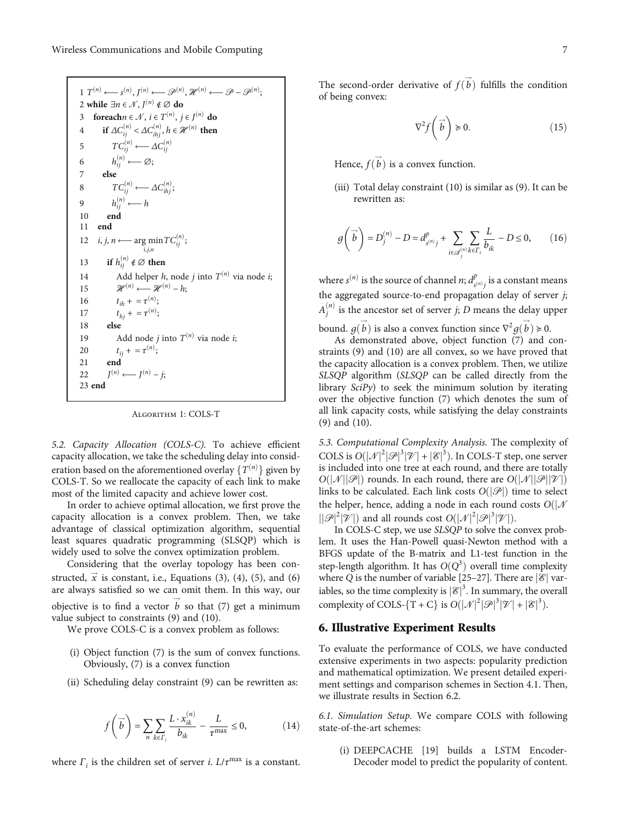```
1 T<sup>(n)</sup> \leftarrow s<sup>(n)</sup>, J<sup>(n)</sup> \leftarrow \mathscr{P}^{(n)}, \mathscr{H}^{(n)} \leftarrow \mathscr{P} - \mathscr{P}^{(n)};
2 while \exists n \in \mathcal{N}, I^{(n)} \notin \emptyset do
3 foreachn \in \mathcal{N}, i \in T^{(n)}, j \in J^{(n)} do
4 if \Delta C_{ij}^{(n)} < \Delta C_{ihj}^{(n)}, h \in \mathcal{H}^{(n)} then
5 TC_{ij}^{(n)} \longleftarrow AC_{ij}^{(n)}6 h_{ij}^{(n)} \longleftarrow \varnothing;7 else
8 TC_{ij}^{(n)} \longleftarrow \Delta C_{ihj}^{(n)};9 h_{ij}^{(n)} \longleftarrow h10 end
11 end
12 i, j, n \longleftarrow \argmin_{i,j,n} TC^{(n)}_{ij};13 if h_{ij}^{(n)} \notin \emptyset then
14 Add helper h, node j into T^{(n)} via node i;
15 \mathcal{H}^{(n)} \longleftarrow \mathcal{H}^{(n)} - h;16 t_{ih} + = \tau^{(n)};
17 t_{hj} + = \tau^{(n)};
18 else
19 Add node j into T^{(n)} via node i;
20 t_{ij} + = \tau^{(n)};
21 end
22 J^{(n)} \longleftarrow J^{(n)} - j;23 end
```
Algorithm 1: COLS-T

5.2. Capacity Allocation (COLS-C). To achieve efficient capacity allocation, we take the scheduling delay into consideration based on the aforementioned overlay  $\{T^{(n)}\}$  given by<br>COIS-T. So we reallocate the capacity of each link to make COLS-T. So we reallocate the capacity of each link to make most of the limited capacity and achieve lower cost.

In order to achieve optimal allocation, we first prove the capacity allocation is a convex problem. Then, we take advantage of classical optimization algorithm, sequential least squares quadratic programming (SLSQP) which is widely used to solve the convex optimization problem.

Considering that the overlay topology has been constructed,  $\vec{x}$  is constant, i.e., Equations ([3\)](#page-4-0), [\(4](#page-4-0)), ([5\)](#page-4-0), and ([6\)](#page-4-0) are always satisfied so we can omit them. In this way, our objective is to find a vector  $\vec{b}$  so that ([7](#page-4-0)) get a minimum value subject to constraints [\(9\)](#page-4-0) and ([10](#page-5-0)).

We prove COLS-C is a convex problem as follows:

- (i) Object function [\(7](#page-4-0)) is the sum of convex functions. Obviously, [\(7](#page-4-0)) is a convex function
- (ii) Scheduling delay constraint ([9](#page-4-0)) can be rewritten as:

$$
f\left(\overrightarrow{b}\right) = \sum_{n} \sum_{k \in \Gamma_i} \frac{L \cdot x_{ik}^{(n)}}{b_{ik}} - \frac{L}{\tau^{\max}} \le 0,
$$
 (14)

where  $\Gamma_i$  is the children set of server *i*.  $L/\tau^{\text{max}}$  is a constant.

The second-order derivative of  $\overline{f(b)}$  fulfills the condition<br>of being convex: of being convex:

$$
\nabla^2 f\left(\overrightarrow{b}\right) \ge 0. \tag{15}
$$

Hence,  $f(b)$  is a convex function.

(iii) Total delay constraint [\(10\)](#page-5-0) is similar as [\(9\)](#page-4-0). It can be rewritten as:

$$
g\left(\vec{b}\right) = D_j^{(n)} - D = d_{s^{(n)}j}^p + \sum_{i \in \mathcal{A}_j^{(n)}} \sum_{k \in \Gamma_i} \frac{L}{b_{ik}} - D \le 0, \qquad (16)
$$

where  $s^{(n)}$  is the source of channel *n*;  $d_{s^{(n)}j}^p$  is a constant means the aggregated source-to-end propagation delay of server *j*;  $A_j^{(n)}$  is the ancestor set of server *j*; *D* means the delay upper

bound. *g*(*b*) is also a convex function since  $\nabla^2 g(b) \ge 0$ .<br>As demonstrated above object function (7) and *c* As demonstrated above, object function [\(7](#page-4-0)) and constraints [\(9\)](#page-4-0) and [\(10\)](#page-5-0) are all convex, so we have proved that the capacity allocation is a convex problem. Then, we utilize SLSQP algorithm (SLSQP can be called directly from the library  $\text{Sci}P_y$  to seek the minimum solution by iterating over the objective function [\(7](#page-4-0)) which denotes the sum of all link capacity costs, while satisfying the delay constraints [\(9](#page-4-0)) and [\(10\)](#page-5-0).

5.3. Computational Complexity Analysis. The complexity of COLS is  $O(|\mathcal{N}|^2|\mathcal{P}|^3|\mathcal{V}| + |\mathcal{E}|^3)$ . In COLS-T step, one server<br>is included into one tree at each round, and there are totally is included into one tree at each round, and there are totally  $O(|\mathcal{N}| |\mathcal{P}|)$  rounds. In each round, there are  $O(|\mathcal{N}| |\mathcal{P}| |\mathcal{V}|)$ links to be calculated. Each link costs  $O(|\mathcal{P}|)$  time to select the helper, hence, adding a node in each round costs  $O(|N|)$  $\left|\left|\mathcal{P}\right|^2\right|\mathcal{V}\right|$  and all rounds cost  $O(|\mathcal{N}|^2|\mathcal{P}|^3|\mathcal{V}|)$ .<br>In COI S-C step, we use *SI SOP* to solve the *c* 

In COLS-C step, we use SLSQP to solve the convex problem. It uses the Han-Powell quasi-Newton method with a BFGS update of the B-matrix and L1-test function in the step-length algorithm. It has  $O(Q^3)$  overall time complexity where *Q* is the number of variable [[25](#page-10-0)–[27](#page-10-0)]. There are  $|\mathscr{E}|$  variables, so the time complexity is  $|{\mathscr{C}}|^3$ . In summary, the overall complexity of COI S,  $[\mathcal{F} \cup C]$  is  $O(|\mathcal{N}|^2 |\mathcal{B}|^3 |\mathcal{V}| + |\mathcal{S}|^3)$ complexity of COLS-{T + C} is  $O(|\mathcal{N}|^2|\mathcal{P}|^3|\mathcal{V}| + |\mathcal{E}|^3)$ .

### 6. Illustrative Experiment Results

To evaluate the performance of COLS, we have conducted extensive experiments in two aspects: popularity prediction and mathematical optimization. We present detailed experiment settings and comparison schemes in Section [4.1](#page-4-0). Then, we illustrate results in Section [6.2](#page-7-0).

6.1. Simulation Setup. We compare COLS with following state-of-the-art schemes:

(i) DEEPCACHE [\[19\]](#page-9-0) builds a LSTM Encoder-Decoder model to predict the popularity of content.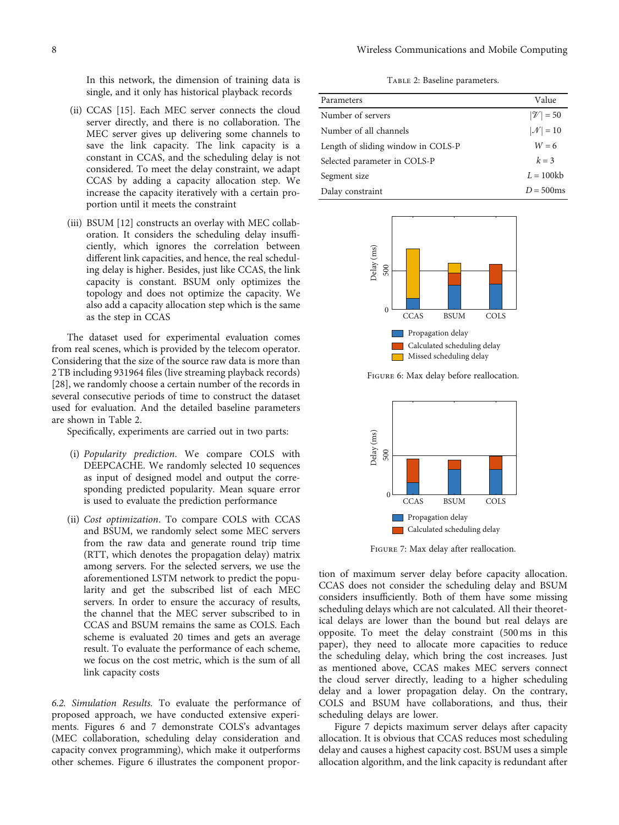<span id="page-7-0"></span>In this network, the dimension of training data is single, and it only has historical playback records

- (ii) CCAS [\[15\]](#page-9-0). Each MEC server connects the cloud server directly, and there is no collaboration. The MEC server gives up delivering some channels to save the link capacity. The link capacity is a constant in CCAS, and the scheduling delay is not considered. To meet the delay constraint, we adapt CCAS by adding a capacity allocation step. We increase the capacity iteratively with a certain proportion until it meets the constraint
- (iii) BSUM [[12](#page-9-0)] constructs an overlay with MEC collaboration. It considers the scheduling delay insufficiently, which ignores the correlation between different link capacities, and hence, the real scheduling delay is higher. Besides, just like CCAS, the link capacity is constant. BSUM only optimizes the topology and does not optimize the capacity. We also add a capacity allocation step which is the same as the step in CCAS

The dataset used for experimental evaluation comes from real scenes, which is provided by the telecom operator. Considering that the size of the source raw data is more than 2 TB including 931964 files (live streaming playback records) [\[28](#page-10-0)], we randomly choose a certain number of the records in several consecutive periods of time to construct the dataset used for evaluation. And the detailed baseline parameters are shown in Table 2.

Specifically, experiments are carried out in two parts:

- (i) Popularity prediction. We compare COLS with DEEPCACHE. We randomly selected 10 sequences as input of designed model and output the corresponding predicted popularity. Mean square error is used to evaluate the prediction performance
- (ii) Cost optimization. To compare COLS with CCAS and BSUM, we randomly select some MEC servers from the raw data and generate round trip time (RTT, which denotes the propagation delay) matrix among servers. For the selected servers, we use the aforementioned LSTM network to predict the popularity and get the subscribed list of each MEC servers. In order to ensure the accuracy of results, the channel that the MEC server subscribed to in CCAS and BSUM remains the same as COLS. Each scheme is evaluated 20 times and gets an average result. To evaluate the performance of each scheme, we focus on the cost metric, which is the sum of all link capacity costs

6.2. Simulation Results. To evaluate the performance of proposed approach, we have conducted extensive experiments. Figures 6 and 7 demonstrate COLS's advantages (MEC collaboration, scheduling delay consideration and capacity convex programming), which make it outperforms other schemes. Figure 6 illustrates the component propor-

TABLE 2: Baseline parameters.

| Parameters                         | Value              |
|------------------------------------|--------------------|
| Number of servers                  | $ \mathcal{V} =50$ |
| Number of all channels             | $ \mathcal{N} =10$ |
| Length of sliding window in COLS-P | $W = 6$            |
| Selected parameter in COLS-P       | $k = 3$            |
| Segment size                       | $L = 100kb$        |
| Dalay constraint                   | $D = 500$ ms       |
|                                    |                    |



Figure 6: Max delay before reallocation.



Figure 7: Max delay after reallocation.

tion of maximum server delay before capacity allocation. CCAS does not consider the scheduling delay and BSUM considers insufficiently. Both of them have some missing scheduling delays which are not calculated. All their theoretical delays are lower than the bound but real delays are opposite. To meet the delay constraint (500 ms in this paper), they need to allocate more capacities to reduce the scheduling delay, which bring the cost increases. Just as mentioned above, CCAS makes MEC servers connect the cloud server directly, leading to a higher scheduling delay and a lower propagation delay. On the contrary, COLS and BSUM have collaborations, and thus, their scheduling delays are lower.

Figure 7 depicts maximum server delays after capacity allocation. It is obvious that CCAS reduces most scheduling delay and causes a highest capacity cost. BSUM uses a simple allocation algorithm, and the link capacity is redundant after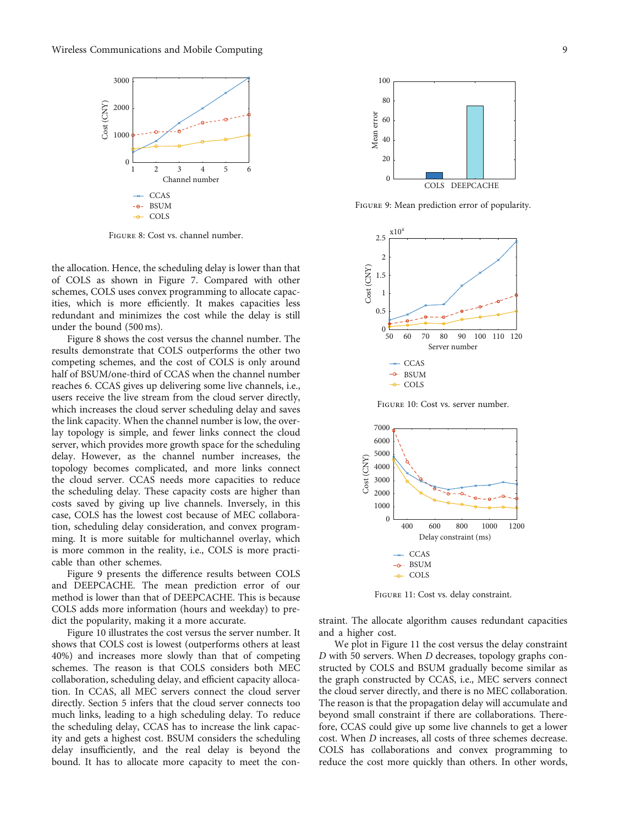

Figure 8: Cost vs. channel number.

the allocation. Hence, the scheduling delay is lower than that of COLS as shown in Figure [7.](#page-7-0) Compared with other schemes, COLS uses convex programming to allocate capacities, which is more efficiently. It makes capacities less redundant and minimizes the cost while the delay is still under the bound (500 ms).

Figure 8 shows the cost versus the channel number. The results demonstrate that COLS outperforms the other two competing schemes, and the cost of COLS is only around half of BSUM/one-third of CCAS when the channel number reaches 6. CCAS gives up delivering some live channels, i.e., users receive the live stream from the cloud server directly, which increases the cloud server scheduling delay and saves the link capacity. When the channel number is low, the overlay topology is simple, and fewer links connect the cloud server, which provides more growth space for the scheduling delay. However, as the channel number increases, the topology becomes complicated, and more links connect the cloud server. CCAS needs more capacities to reduce the scheduling delay. These capacity costs are higher than costs saved by giving up live channels. Inversely, in this case, COLS has the lowest cost because of MEC collaboration, scheduling delay consideration, and convex programming. It is more suitable for multichannel overlay, which is more common in the reality, i.e., COLS is more practicable than other schemes.

Figure 9 presents the difference results between COLS and DEEPCACHE. The mean prediction error of our method is lower than that of DEEPCACHE. This is because COLS adds more information (hours and weekday) to predict the popularity, making it a more accurate.

Figure 10 illustrates the cost versus the server number. It shows that COLS cost is lowest (outperforms others at least 40%) and increases more slowly than that of competing schemes. The reason is that COLS considers both MEC collaboration, scheduling delay, and efficient capacity allocation. In CCAS, all MEC servers connect the cloud server directly. Section [5](#page-5-0) infers that the cloud server connects too much links, leading to a high scheduling delay. To reduce the scheduling delay, CCAS has to increase the link capacity and gets a highest cost. BSUM considers the scheduling delay insufficiently, and the real delay is beyond the bound. It has to allocate more capacity to meet the con-



Figure 9: Mean prediction error of popularity.



Figure 10: Cost vs. server number.



Figure 11: Cost vs. delay constraint.

straint. The allocate algorithm causes redundant capacities and a higher cost.

We plot in Figure 11 the cost versus the delay constraint *D* with 50 servers. When *D* decreases, topology graphs constructed by COLS and BSUM gradually become similar as the graph constructed by CCAS, i.e., MEC servers connect the cloud server directly, and there is no MEC collaboration. The reason is that the propagation delay will accumulate and beyond small constraint if there are collaborations. Therefore, CCAS could give up some live channels to get a lower cost. When *D* increases, all costs of three schemes decrease. COLS has collaborations and convex programming to reduce the cost more quickly than others. In other words,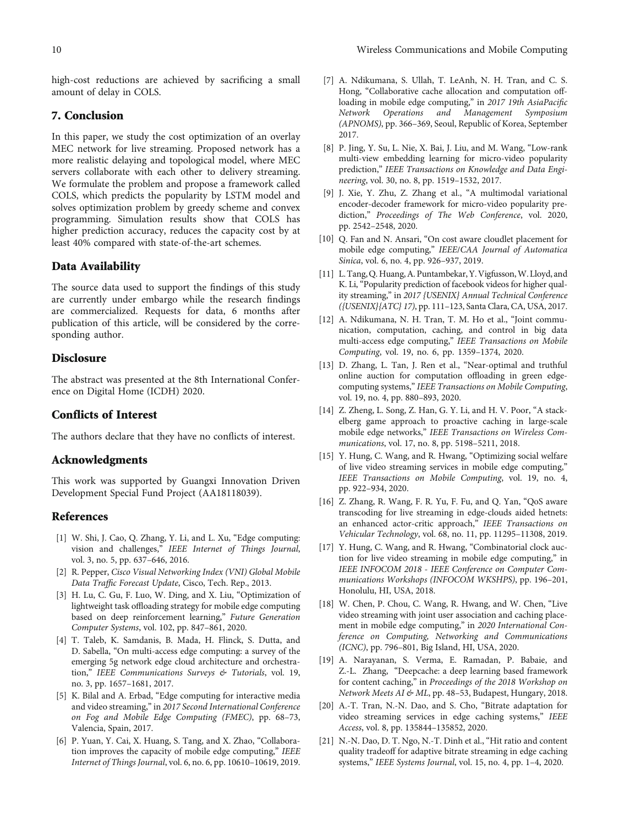<span id="page-9-0"></span>high-cost reductions are achieved by sacrificing a small amount of delay in COLS.

# 7. Conclusion

In this paper, we study the cost optimization of an overlay MEC network for live streaming. Proposed network has a more realistic delaying and topological model, where MEC servers collaborate with each other to delivery streaming. We formulate the problem and propose a framework called COLS, which predicts the popularity by LSTM model and solves optimization problem by greedy scheme and convex programming. Simulation results show that COLS has higher prediction accuracy, reduces the capacity cost by at least 40% compared with state-of-the-art schemes.

## Data Availability

The source data used to support the findings of this study are currently under embargo while the research findings are commercialized. Requests for data, 6 months after publication of this article, will be considered by the corresponding author.

### Disclosure

The abstract was presented at the 8th International Conference on Digital Home (ICDH) 2020.

# Conflicts of Interest

The authors declare that they have no conflicts of interest.

#### Acknowledgments

This work was supported by Guangxi Innovation Driven Development Special Fund Project (AA18118039).

## References

- [1] W. Shi, J. Cao, Q. Zhang, Y. Li, and L. Xu, "Edge computing: vision and challenges," IEEE Internet of Things Journal, vol. 3, no. 5, pp. 637–646, 2016.
- [2] R. Pepper, Cisco Visual Networking Index (VNI) Global Mobile Data Traffic Forecast Update, Cisco, Tech. Rep., 2013.
- [3] H. Lu, C. Gu, F. Luo, W. Ding, and X. Liu, "Optimization of lightweight task offloading strategy for mobile edge computing based on deep reinforcement learning," Future Generation Computer Systems, vol. 102, pp. 847–861, 2020.
- [4] T. Taleb, K. Samdanis, B. Mada, H. Flinck, S. Dutta, and D. Sabella, "On multi-access edge computing: a survey of the emerging 5g network edge cloud architecture and orchestration," IEEE Communications Surveys & Tutorials, vol. 19, no. 3, pp. 1657–1681, 2017.
- [5] K. Bilal and A. Erbad, "Edge computing for interactive media and video streaming," in 2017 Second International Conference on Fog and Mobile Edge Computing (FMEC), pp. 68–73, Valencia, Spain, 2017.
- [6] P. Yuan, Y. Cai, X. Huang, S. Tang, and X. Zhao, "Collaboration improves the capacity of mobile edge computing," IEEE Internet of Things Journal, vol. 6, no. 6, pp. 10610–10619, 2019.
- [7] A. Ndikumana, S. Ullah, T. LeAnh, N. H. Tran, and C. S. Hong, "Collaborative cache allocation and computation offloading in mobile edge computing," in 2017 19th AsiaPacific Network Operations and Management Symposium (APNOMS), pp. 366–369, Seoul, Republic of Korea, September 2017.
- [8] P. Jing, Y. Su, L. Nie, X. Bai, J. Liu, and M. Wang, "Low-rank multi-view embedding learning for micro-video popularity prediction," IEEE Transactions on Knowledge and Data Engineering, vol. 30, no. 8, pp. 1519–1532, 2017.
- [9] J. Xie, Y. Zhu, Z. Zhang et al., "A multimodal variational encoder-decoder framework for micro-video popularity prediction," Proceedings of The Web Conference, vol. 2020, pp. 2542–2548, 2020.
- [10] Q. Fan and N. Ansari, "On cost aware cloudlet placement for mobile edge computing," IEEE/CAA Journal of Automatica Sinica, vol. 6, no. 4, pp. 926–937, 2019.
- [11] L. Tang, Q. Huang, A. Puntambekar, Y.Vigfusson,W. Lloyd, and K. Li, "Popularity prediction of facebook videos for higher quality streaming," in 2017 {USENIX} Annual Technical Conference ({USENIX}{ATC} 17), pp. 111–123, Santa Clara, CA, USA, 2017.
- [12] A. Ndikumana, N. H. Tran, T. M. Ho et al., "Joint communication, computation, caching, and control in big data multi-access edge computing," IEEE Transactions on Mobile Computing, vol. 19, no. 6, pp. 1359–1374, 2020.
- [13] D. Zhang, L. Tan, J. Ren et al., "Near-optimal and truthful online auction for computation offloading in green edgecomputing systems,"IEEE Transactions on Mobile Computing, vol. 19, no. 4, pp. 880–893, 2020.
- [14] Z. Zheng, L. Song, Z. Han, G. Y. Li, and H. V. Poor, "A stackelberg game approach to proactive caching in large-scale mobile edge networks," IEEE Transactions on Wireless Communications, vol. 17, no. 8, pp. 5198–5211, 2018.
- [15] Y. Hung, C. Wang, and R. Hwang, "Optimizing social welfare of live video streaming services in mobile edge computing," IEEE Transactions on Mobile Computing, vol. 19, no. 4, pp. 922–934, 2020.
- [16] Z. Zhang, R. Wang, F. R. Yu, F. Fu, and Q. Yan, "QoS aware transcoding for live streaming in edge-clouds aided hetnets: an enhanced actor-critic approach," IEEE Transactions on Vehicular Technology, vol. 68, no. 11, pp. 11295–11308, 2019.
- [17] Y. Hung, C. Wang, and R. Hwang, "Combinatorial clock auction for live video streaming in mobile edge computing," in IEEE INFOCOM 2018 - IEEE Conference on Computer Communications Workshops (INFOCOM WKSHPS), pp. 196–201, Honolulu, HI, USA, 2018.
- [18] W. Chen, P. Chou, C. Wang, R. Hwang, and W. Chen, "Live video streaming with joint user association and caching placement in mobile edge computing," in 2020 International Conference on Computing, Networking and Communications (ICNC), pp. 796–801, Big Island, HI, USA, 2020.
- [19] A. Narayanan, S. Verma, E. Ramadan, P. Babaie, and Z.-L. Zhang, "Deepcache: a deep learning based framework for content caching," in Proceedings of the 2018 Workshop on Network Meets AI & ML, pp. 48-53, Budapest, Hungary, 2018.
- [20] A.-T. Tran, N.-N. Dao, and S. Cho, "Bitrate adaptation for video streaming services in edge caching systems," IEEE Access, vol. 8, pp. 135844–135852, 2020.
- [21] N.-N. Dao, D. T. Ngo, N.-T. Dinh et al., "Hit ratio and content quality tradeoff for adaptive bitrate streaming in edge caching systems," IEEE Systems Journal, vol. 15, no. 4, pp. 1–4, 2020.